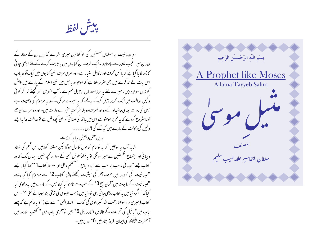بيش لفظ

رد عیسائیت پر مسلمان مصنفین کی حو کتابیں میری نظر سے گذریں ان کے مطالہ کے دوران میرا عجب نضاد سے سامنا ہوا۔ ایک طرف ان کتابوں میں بہ ثابت کرنے کے لئے ایڑی جو ٹی کا زور لگا پا گیا ہے کہ یا ئبل محرف اور ناقابل اعتیار ہے ۔ دوسمری طرف انہی کتا بوں میں ایک آدھ پاپ اس بات کے تذ کرے میں بھی صرور ملتا ہے کہ موجودہ پائبل میں نبی اسلام کے بارے میں پیش گوئیاں موجود ہیں۔میرے لئے یہ طرز استد لال ناقابل فہم ہے ۔ آپ خود سی عوٰر کیچئے کہ اگر کوئی و کیل عدالت میں ایک تحریر پیش کرکے یہ بھے کہ یہ میرے موکل کے والد مرحوم کی وصیت ہے جس کی روسے پوری جائیداد کے وہ اور صرف وہ بلاسٹر کت عنیر ے وارث بیں- اور دوسرے ہی کیمے کھناسٹروع کردے کہ یہ تحریر موصوبے اس میں باتھ کی صفا ٹی کو بھی کحچھ دخل ہے توعدالت عالیہ ایسے و کیل کی و کالت کے بارے میں کیا تھے گی ؟ یہی نا۔۔۔۔

يديں عقل و بنيش بيا بد گريست شاید آپ ہہ سوچیں کہ یہ تو عام کتابوں کا حال ہوگا لیکن مستند کتابیں اس قسم کی تضاد وبیا فی اور اجتماع گفیضین سے میبرا ہونگی تو یہ قطعاً خوش فہمی کے سوا اور تحیھ نہیں۔ یہاں تک کہ وہ کتاب جسے "عیسائی مذہب پر سب سے زیادہ جامع ، مشحکم مدلل اور مبسوط کتاب1\* تھا گیا ، جسے "عیسائیت کی تردید میں حرف آخر کی حیثیت رکھنے والی کتاب 2\* سے موسوم کیا گیا ،جے "عیسائیت کے تابوت میں آخری منح 3\* کے لقب سے نامزد کیا گیا، جس کے بارے میں یہ دعویٰ کیا گیا کہ " اگر د نیامیں یہ کتاب پڑھی جاتی رہی تو د نیامیں مذہب عیسوی کی ترقی بند ہوجائے گئی 4\*۔اس کتاب (میری مراد مولانا رحمت الله کبیرا نوی کی کتاب " اظہار الحق " سے ہے ) کا یہ عالم ہے کہ پہلے باب میں " یا ئبل کی تحریف کے ناقابل انکار دلائل 5\* ہیں تو آخری باب میں " کتب مقدسہ میں سنحصرت التي يُسَلِّمُ كي ايمان افروز بشارتيس 6\* درج بين –

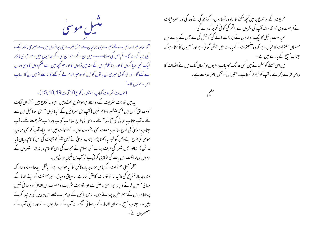مثبل موسیٰ

"خداوند تیراخدا تیرے لئے تیرے ہی درمیان سے یعنی تیرے ہی سائیوں میں سے میری مانند ایک نبی برپا کرے گا۔ تم اس کی سننا۔۔۔۔۔ میں ان کے لئے ان بی کے سِائیوں میں سے تیمری ما نند ایک نبی بریا کروں گا اور اپنا کلام اس کے منہ میں ڈالوں گا او رحبو کحچھ میں اسے ضمم دوں گا وہی وہ ان سے کھے گا۔اور حو کوئی میری ان با توں کو حن کووہ میرا نام لے کر کھے گا نہ سنے تومیں ان کا حساب اس سےلوں گا۔"

(توريت مثريف كتاب استشارر كوع18 آيت 18,18,19)-

پہ ہیں توریت سثر یف کے وہ الفاظ حوموصنوع بحث ہیں۔حبووجہ نزاع ہیں۔آخران آپات کامصداق کون بیں؟ کیا پینمبر اسلام نہیں ؟ آپ بنی اسرائیل کے " بعائیوں " بنی اسماعیل میں سے تھے ۔آپ جناب موسیٰ کی "ما نند " تھے ۔ اسٰی کی طرح صاحب کتاب وصاحب سنٹر یعت تھے ۔آپ جناب موسیٰ کی طرح صاحب سیف بھی تھے - دو نوں نے عروات میں حصہ لیا۔ آپ کو بھی جناب موسیٰ کی طرح اپنے وطن کو خیبر باد کھنا پڑا۔ جناب موسیٰ نے حس شہر کو ہجرت کی اس کا نام مدیان (یا مدائن ) تعااور حس شہر کی طرف جناب نبی اسلام نے ہجرت کی اس کا نام مدینہ تھا۔ شہروں کے ناموں کی مماثلت اس بات کی عماری کرتی ہے کہ آپ ہی متنیلِ موسیٰ بیں۔

سمخر مسیحی حصرات کے پاس مندرجہ بالادلائل کا کبا حواب ہے ؟ بالکل سیدھا۔ سادہ ساء کہ مندرجہ بالا تستریح کی تائید نہ نو توریت کامتن کرتاہے نہ سیاق وسباق - ہر مصنف کو اپنے الفاظ کے معانی متعین کرنے کا پورا پوراحق حاصل ہے اور توریت سثر یف کامصنف ان الفاظ کووہ معانی نہیں پہناتا حبواس کے معترضین پہناتے ہیں۔ نہ ہی یائبل کے دوسرے جصے اس تاویل کی تائید کرتے ہیں۔ نہ جناب مسح نے ان الفاظ کے یہ معانی سمجھے نہ آپ کے حواریوں نے اور نہ ہی آپ کے جمعصروں نے۔

تحریف کے موصنوع پر میں کحچھ لکھنے کا ارادہ رکھتا ہوں۔ اگر زندگی نے وفا کی اور مصر وفیات نے فرصت دی توانشاءاللہ آپ کی نظروں سے راقم کی کوئی تحریر گذرے گی۔ سمر دست یا ئبل کا ایک حوالہ میں نے زیر بحث لانے کی کوشش کی ہے جس کے بارے میں مسلمان حصرات کا خیال ہے کہ وہ انھھرت کے بارے میں پیش گوئی ہے اور مسحیوں کا کھنا ہے کہ جناب مسح کے بارے میں ہے ۔ میں اس مسئلے کو سلجیانے میں کس حد تک کامیاب ہوا ہوں اور <sub>ک</sub>ماں تک میں نے انصاف کا دامن تعامے رکھاہے۔آپ کوفیصلہ کرناہے۔حقیر سی کوشش حاصر خدمت ہے۔

سليم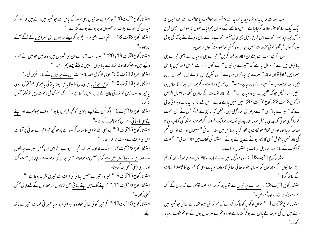جب صورت حال بہ ہو تو تائید یا تردید سے پیشتر اور موالفت یا مخالفت سے پہلے کیوں نہ ایک ایک لفظ کا بغور مطالعہ کرلیا جائے - اس مطالعے کے دوران ہم ایک اصول نہ بھولیں - حس طرح قرآن مجید اپنامسفر خود ہے اسی طرح یا ئبل بھی اپنی مفسر حود ہے ۔اسے اپنی مدد کے لئے برآمد کی ہو ئی بيساكھىيوں كى قطعاً كوئى صرورت نہيں ، چاہےوہ كتنى خوبصورت كيوں نہ ہوں۔

اول۔ آپَے سب سے پہلے ان الفاظ پر عور کریں" تیرے ہی درمیان سے یعنی تیرے ہی ہجائیوں میں سے " سوال ہہ ہے کہ "تیرے ہعائیوں " سے کون مراد ہے ؟ بنی اسماعیل یا بنی اسرائیل ؟ اولاً نو ان الفاظ " تیرے ہی جائیوں میں سے " کی تستریح اس حوالے میں ، عسرا فی زبان میں ،حود موحود ہے ۔" تیرے ہی درمیان سے۔" اس صریح وصاحت کے بعد کسی اسام کا امکان ہی نہیں رہتا۔ لیکن حیونکہ "تیرے ہی درمیان سے " کے الفاظ نوریت کے سامری نسخہ اور اعمال الرسل (رکوع 3 آیت 22 رکوع 7آیت 37)۔ میں نہیں پائے جاتے۔اس لئے بار بار یہ بات دہرائی جاتی ہے کہ " تیرے بھائیوں " سے مراد بنی اسماعیل ہیں۔لیکن کیا ہہ سچ ہے ؟اگر کسی نے اتنی زحمت گوارا کرلی ہو تی کہ پوری یا ئبل نودر کنار پوری نوریت نوایک طرف اگر صرف استشنا کی کتاب ہی کا مطالعہ کرلیا ہوتا اور ان تمام حوالحات پر عوْر کرلیا ہوتا حن میں لفظ" ہجا ئی "استعمال ہوا ہے تو اس قسم کی علط فہمی یا خوش فہمی کا شکار ہونے سے پچ گئے ہوتے ۔ استشنا کی کتاب میں لفظ " بھا ئی" سمختلف تراکیب کے ساتھ مندرجہ ذیل مقامات پر استعمال ہواہے ۔

استشنار کوع 1 آیت 16 : اُسی موقع پر میں نے تہارے قاضیوں سے تاکیداً پہ کہا کہ تم اپنے ہعائیوں کے مقدموں کو سننا پر خواہ سائی ہعائی کامعاملہ ہو یا پردیسی کا تم ان کا فیصلہ الصاف کے بیاتھ کرنا۔"

استشنار کوع 1 آیت 28 : <u>"ہمارے بیائیوں نے</u> تو یہ بتا کر ہماراحوصلہ توڑدیاہے کہ وہاں کے لوگ ہم سے بڑے بڑے اور کمپے ہیں۔"

استشنار کوع 2 آیت 4: " نوان لوگوں کو تاکید کردے کہ تم کو<u>بنی عیسو تہارے ہیائی</u> حوشعیر میں رہتے بیں ان کی سمرحد کے پاس سے ہوکر گزر ناہے اور وہ تم سے ہراساں ہوں گے سو تم حوب احتیاط ركھنا۔"

استشنار کوع 2آیت 8: "سوہم اپنے سائیوں بنی عیسو کے پاس سے حوشعیر میں رہتے ہیں کہ کترا کر میدان کی راہ سے ایلات اور عصیون جا بر ہوتے ہوئے گزرے۔" استشنار کوع 3آیت 18 :" تم سب جنگی مرد مسلح ہو کر اپنے ہعائیوں بنی اسرائیل کے آگے آگے بار چلو۔" استشنار کوع 3 ٓیت 19 تا 20: " سوپہ سب تہارے ان ہی شہروں میں رہ جائیں حومیں نے تم کو دیّے ہیں تاوقیتکہ خداوند تہارے ہبائیوں کوچین نہ بُختے جیسے ہم کو بخشا۔" استشنار کوع10 آیت 9 :" لاوی کو کو ئی حصہ پامیراث اس کے ہپائیوں کے ساتھ نہیں ملی۔" استشنار كوع 13 آيت 6: " اگر تيرا سا ئي يا تيري مال كا بيڻا يا تيرا بيڻا يا بيٹي يا تيري ہم آعوش بيوي یا تیر ادوست حس کو تواپنی جان کے برابر عزیزرکھتاہے ۔" تجھے سٹرک کی دعوت دیں تو قطعاً قبول بڼه کرنا-" استشنار کوع 15 آیت 2:" اگر کسی نے اپنے پڑوسی کو تحچھ قر <sub>م</sub>ش دیا ہو تووہ اسے چھوڑدے اور <u>اپنے</u> پڑوسی یا بھائی سے اس کامطالبہ نہ کرے۔" استشنار کوع 15 آیت3:" <u>پردیسی</u> سے نواس کامطالبہ کرسکتاہے پر حو<sup>کج</sup>چہ تیرا تیرے ہائی پرآتاہے اس کی طرف سے دست بردار ہوجانا۔" استشنار کوع 15 آیت 7:" حبوملک خداوند تیبراخدا تجھ کودیتا ہے اگراس میں کھمیں تیبرے پپانگوں کے اندر تیرے ہیائیوں میں سے کوئی مفلس ہو تواپنےمفلس ہیائی کی طرف سے نہ اپنادل سخت کرنا اور په سي اپني مٹھي بند کرلينا-" استشنار کوع 15 آیت 9: " خبر دار تیرے مفلس سائی کی طرف سے تیری نظر بد ہوجائے۔" استشنار کوع 15 آیت 11:" تواپنے ملک میں <u>اپنے سائی</u> یعنی کنگالوں اور محتاحوں کے لئے اپنی مٹھی كحصلى ركحينا -" استشنار کوع 15 آیت12:" اگر تیرا کوئی سائی خواه وه <u>عمرانی مرد</u> ہو یا<u>عمرانی عورت</u> تیرے ہاتھ بكە-----"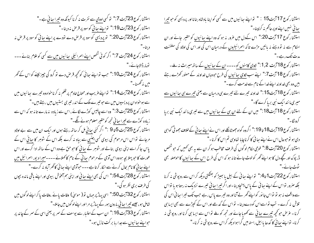استشنار کوع 23 آیت 7:" نو کسی <sub>ل</sub>وومی سے نفرت نہ کرنا کیونکہ وہ <u>تیرا سائی ہ</u>ے ۔" استشار کوع23 آیت19:" تو<u>اپنے بھائی</u> کوسود پر قرص نہ دینا۔" استشار کوع 23 آیت 20'" تو پردیسي کوسود پر قرص دے تودے پر اپنے سائی کوسود پر قرص نہ دینا-" استشنار کوع 24 آیت 7:" اگر کوئی شخص <u>اپنے اسمرا <sup>ئی</sup>لی سائیوں میں سے</u> کسی کو غلام بنائے۔۔۔ تومار ڈالاجائے۔" استشنار کوع 24آیت10:" حب تواپنے سائی کو محچہ قرص دے نو گرو کی چیز لینے کواس کے گھر میں نہ گھسنا۔" استشنار کوع 24 آیت14:" تواپنےغریب اور محتاج خادم پر ظلم نہ کرناخواہ وہ تیرے ہعائیوں میں سے ہوخواہ ان پردیسیوں میں سے حو تیر ے ملک کے اندر تیری بستیوں میں رہتے ہیں۔" استشنار کوع 25 آیت 3:" وہ اسے چالیس کوڑے لگائے ، اس سے زیادہ نہ مارے تا نہ ہو کہ اس سے زیادہ کوڑے سے <u>تیرا بھائی</u> تجھ کوحقیر معلوم ہونے لگے۔" استشنار کوع 25 آیت 5 تا 9 :" اگر کئی <u>سائی</u> مل کر ساتھ رہتے ہوں اور ایک ان میں سے بے اولاد مرجائے تواس اس مرحوم کی بیوی کسی اجنبی سے بیاہ نہ کرے بلکہ اس کے شوہر کا ہیا ئی اس کے یاس جا کر اسے اپنی بیوی بنالے اور شوہر کے سائی کا حوحق ہے وہ اس کے ساتھ ادا کرے اور اس عورت کا حو پہلا بچہ ہووہ اس آدمی کے مرحوم سائی کے نام کا کہلائے ۔۔۔۔میرا دیور اسرائیل میں اپنے بعا ئی کا نام بحال کرنے سے الکار کرتا ہے۔۔۔حوآدمی اپنے بعا ٹی کاٹھرآباد نہ کرے۔" استشنار کوع 28 آیت 54:" اس کی بھی اپنے سائی اور اپنی ہم آعوش بیوی اور اپنے باقی ماندہ بجوں كى طرف برى نظر ہو گى۔" استشنار کوع 32 آیت 50'" اسی پہاڑ پر جہاں تو ( موسیٰ ) وفات یائے ،وفات یا کراپنے لوگوں میں شامل ہو، جیسے تیبرا سائی بارون ہور کے پہاڑ پر مرااور اپنے لوگوں میں جاملا۔" استشنار کوع 33 آیت 16:" ان سب کے اعتبار سے یوسف کے سمر پر یعنی اسی کے سمر کے چاند پر ح<u>واپ</u>نے ہ<u>عائیوں سے جدارہا بر</u> کت نازل ہو۔"

ہجا ئی نہیں اپنے او پر حاکم نہ کرلینا۔" استشنا رکوع 17 آیت 20" اس کےدل میں عرور نہ ہو کہ وہ اپنے پہائی<u>وں</u> کو حقیر بانے اور ان احکام سے نہ تو دہنے نہ بائیں مڑے تا کہ <u>اسرائیلیوں</u> کے درمیان اس کی اور اس کی اولاد کی سلطنت مدت تک رہے ۔" استشنار کوع 18 آیت 2، 1:" لاوی کاہنوں کو۔۔۔ان کے سائیوں کے ساتھ میراث نہ ملے۔ استشنا رکوع 18 آیت7:" اپنے سب لاوی سائیوں کی طرح حووہاں خداوند کے حصور کھڑے رہتے بیں وہ بھی خداو ند اپنے خدا کے نام سے خدمت کرے۔" استشنار کوع 18 آیت15:" خداوند تیرے لئے تیرے ہی درمیان سے یعنی تیرے ہی ہیائیوں سے میری مانندایک نبی برپا کرے گا۔" استشنار کوع 18 آیت 18:" میں ان کے لئے <u>ان ہی کے سائیوں</u> میں سے تیمری ما نند ایک نبی برپا كرويًا -" استشنار کوع 19 آیت 18 تا 19:" اگروہ گواہ جھوٹانگلے اور اس نے اپنے سائی کے خلاف جھوٹی گواہی دی ہو نوحوحال اس نے اپنے سائی کا کرناچاہا تعاوی تم اس کا کرنا۔" استشنار کوع 20 آیت 8:" فوجی حکام لوگوں کی طرف مخاطب ہوکر ان سے یہ بھی ٹھمیں کہ حو شخص ڈرپوک اور کچے دل کا ہو اپنے گھر کو لوٹ جائے تا نہ ہو کہ اس کی طرح اس کے سائیوں کا حوصلہ بھی ٹوٹ جائے۔" استشنار کوع 22 آیت1 تا4:" تواپنے سائی کے بیل یا بھیڑ کو بھٹکتی دیکھ کراس سے روپوشی نہ کرنا بل*کہ صرور* تواس کے اپنے سائی کے پاس پہنچادینا۔اور اگر <u>تیرا سائی</u> تیرے نزدیک نہ رہتا ہویا تواس سے واقف نہ ہو نو نواس جا نور کو اپنے گھر لے آنا اور وہ تیرے پاس رہے جب تک تیر ا سا ئی اس کی تلاش نہ کرے۔ تب تواسےاس کو دےدینا۔ تواس کے گدھے اور اس کے کپڑے سے بھی ایسا ہی کرنا۔ عرّ ص حو تحچیہ تیبرے سائی سے تھوپا جائے اور تحجہ کو ملے تو اس سے ایسا ہی کرنا اور رو پوشی نہ کرنا- نواپنے سا ٹی کا گدھا یا بیل راستہ میں گراہوادیکھ کراس سے روپوشی نہ کرنا-"

استشنار کوع 17 آیت15 : " تواپنے سائیوں میں سے کسی کواپنا بادشاہ بنانا اور پردیسی کوحو تیرا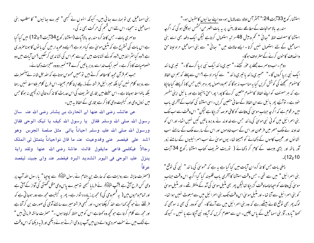استشنار كوع 33 آيت 24:" سمثر سم اولاد سے مالامال ہو۔ وہ اپنے سائیوں كامقىول ہو۔" مندرجہ بالاحوالحات کے مطالعے سے قارینئن پر یہ بات اظہر من الشمس ہوچکی ہو گی کہ اگرچہ استشنا کا مصنف لفظ " ہجا ئی " تحم وبیش 48 مر تبہ استعمال کرتاہے لیکن ایک دفعہ بھی اسے بنی اسماعیل کے لئے استعمال نہیں کرتا۔ایسے حالات میں " ہجائی " سے بنی اسماعیل مراد لینا حق وانصاف کاحون کرنے کے مترادف ہو گا۔

دوم - اب دوسرے جملے پر عوْر کیجئے -" میری ما نند ایک نبی برپا کرے گا -" سمیری ما نند ایک نبی برپا کروں گا۔" "میری مانندیا تیری مانند " سے کیامراد ہے ؟اس سے پہلے کہ ہم ان الفاظ کامفهوم صمجھنے کی کوشش کریں کیا یہ مناسب نہ ہوگا کہ ہم وہ اصول پھر دہرالیں جس کا ذکر پہلے کیاجاجکا ہے کہ ہر مصنف کو اپنے الفاظ کا مفہوم متعین کرنے کا پورا بوراحق پہنچتا ہے اور بائبل اپنی مفسر خود ہے۔ توآیَّے پھر پائبل سے ان الفاظ کےمعا نی متعین کریں۔اسی استشنا کی کتاب کے آخری پاب میں مرقوم ہے کہ اگر چہ جناب موسیٰ کی وفات کو کافی عرصہ گزر جکا ہے لیکن" اس وقت سے اب تک بنی اسرائیل میں کوئی نبی موسیٰ کی مانند حس سے خداوند نے روبرو باتیں کیں نہیں اٹھا۔ اور اس کو خداوند نے ملک مصر میں فرعون اور اس کے سب خادموں اور اس کے سارے ملک کے سامنے سب نشانوں اور عجیب کاموں کے دکھانے کو بھیجتا تھا۔ یوں موسیٰ نے سب اسرائیلیوں کے سامنے زور آور باتھ اور بڑی ہیبت کے کام کر دکھائے ( توریت سٹریف کتاب استشا رکوع 34 آیت

پہلی بات حس کا تذکرہ ان آبات میں کیا گیا ہے یہ ہے کہ "موسیٰ کی مانند " نبی کی توقع " بنی اسرائیل " میں سے تھی ۔ حس وقت استشنا کا آخری باب قلمبند کیا گیا اگرچہ اس وقت جناب موسیٰ کی وفات کو احیا خاصاوقت گزرجیا تھالیکن پھر بھی منتیل موسیٰ کی آہد کے منتظر تھے ۔ اور منتیل موسیٰ کو بنی اسرائیل سے آنا تھا۔ اور منٹیل موسیٰ اس وقت تک بنی اسرائیل میں سے مبعوث نہیں ہوا تھا۔ لوگ پھر بھی توقع لگائے بیٹھے رہے کہ وہ بنی اسرا ئیل میں سے آئے گا۔ کسی کو دور کی بھی نہ سوجھی کہ کھتا "بارو ، آؤ بنی اسماعیل کے پاس چلیں۔ ان سے معلوم کریں کہ آبادہ نبی آجکا ہے یا نہیں ۔ کیونکہ

بنی اسماعیل ہی تو ہمارے بعائی بیں۔ کیونکہ انہوں نے کسجی" تیرے ہعائیوں" کا مطلب بنی اسماعیل نہ سمجا۔ اس لئے اس قسم کی حرکت بھی نہ کی۔ دوسری بات - حس کاتذ کره مندرجه بالاآبات (استشنار کوع 34آیت 1 تا 12) میں کیا گیا ہے اس بات کی تسٹر بح ہے کہ مٹیل موسیٰ سے کیامراد ہے ؟ایسے دعویدار میں کن یا توں کا ہوناصروری ہے ؟ وہ کیا سٹر ائط ہیں ؟ وہ کونے نشانات ہیں ح<sub>بی سے</sub> ہم اس کی نشاند <sub>ک</sub>ی کرسکیں ؟ ان آیات میں دو خصوصیات کا ذکر ہے ۔ نمبر ایک خداسے رو بر پاتیں کرے 7\* نمبر دووہ معمِزات دکھائے۔ حب ہم قرآن مجید کامطالعہ کرتے ہیں تو ہمیں محسوس ہوتاہے کہ اللہ جل شانہ نے آنحصرت سے رو برو کلام نہیں کیا بلکہ حببرا ئیل فرشتہ کے ذریعے اپنا کلام بھیجا۔ اس طرح کلام بلاواسطہ نہیں رہتا بلکہ بالواسطہ ہوجاتا ہے ۔ اس سلسلے میں بخاری سثریف کی اس حدیث کا تذکرہ خالی ازدلچیپی نہ ہوگا جس میں نزول وحی اور کیفیت وحی کاذ کر ہے بخاری کے الفاظ بیہ بیں۔

عن عائشہ رضی الله عنها ان الحارث بن ہشام رضی الله عنہ سال رسول الله صلى الله وسلم فقال يا رسول الله كيف يا تيك الوحى فقال ورسول الله صلى الله عليه وسلم احياناً ياتى مثل صلصة الجرس وهو اشد على فيفصر عنى وقدوعيت عنه ما قال نواحياناً يتمثل لى الملك رجالاً فيكلمي فاعي مايقول قالت عاشة رضى الله عنها ولقد راية ينزل عليه الوحى في اليوم الشديد البرد فيفضم عنه وان جبينه ليفصد عر قاً

(حصرت عايشہ سے روايت ہے كہ حارث بنِ ہشام نے رسول مُتَّاَيَّاتِهُمْ سے پوجِيا " يارسول الله آپ پر وحی کس طرح آتی ہے ؟آپ اُنٹی اِیکس نے فرمایا کہجی تومیرے پاس وحی مثل گھنٹی کی آواز کے آتی ہے اور تمام وحیوں میں ( یہ قسم وحی کی ) مجھ پر زیادہ دشوار ہے۔ پھر یہ کیفیت مجھ سے دور ہوجا تی ہے کہ فرشِفْہ نے حوکھچھ کھا اسے اخذ کرچکتا ہوں۔ اور کسجی فرشتہ میرے سامنے آدمی کی صورت بن کرآتا ہے اور مجھ سے کلام کرتا ہے حو کچھ وہ کھتاہے اس کو میں حفظ کرلیتا ہوں ۔" حصرت عائشہ فرما تی بیں " بے ننگ میں نے سخت سمر دی والے دن میں آپ پروحی اترتے ہوئے دیکھی اور ( یہ دیکھا کہ اس وقت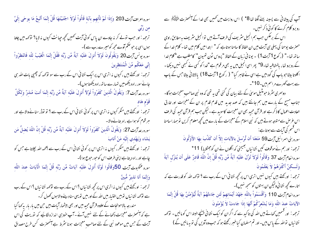آپ کی پیشانی سے پسینہ بہنے لگتا تھا 8\* ﴾ اس روایت میں ٹھمیں بھی خدا کے آنحصرت التَّقِيلَةً صلى ہے رو برو کلام کرنے کا کوئی ذکر نہیں۔

اس کے برعکس حب ہم انجیل سٹریف کی طرف آتے ہیں توانجیل سٹریف بہ مطابق راوی حصرت یوحنا کی پہلی ہی آیت میں ان الفاظ کا سامنا ہوتاہے کہ " ابتدا میں کلام میں تعا۔ کلام خدا کے ساتھ تھا۔" (رکوع 1 آیت 1) ۔ یونانی زبان کے الفاظ "پروس ٹون تھیون" کامطلب ہے "کلام خدا کے روبرو تھا ، بالمشافسہ تھا۔ <sup>4</sup>\* پھر اسی انجیل میں بہ بھی مرقوم ہے "خدا کو کسی نے کسجی نہیں دیکھا۔ اکلوتا بیٹاحو باپ کی گود میں ہے اسی نے ظاہر کیا" ( رکوع 11یت 18) بالاثانی بیٹاحس کے باپ سے بہت گھرے مراسم ہیں۔10 \*۔

دوسری سٹرط حبومنٹیل موسیٰ کے لئے بیان کی گئی تھی یہ تھی کہ وہ نبی صاحبِ معجزات ہوگا۔ جناب مسیح کے بارے میں ہم جانتے ہیں کہ عہد جدید میں قدم قدم پر ان کے معجزات اور خارق العادت اعمال کا ذکر ہے اور قرآن مجید بھی ان معجزات کاموید ہے ۔لیکن جب ہم قرآن مجید کی طرف اس عرص سے متوجہ ہوتے ہیں کہ نبی اسلام کے معجزات کے بارے میں کحچھ معلوم کریں تو ہماراسامنا اس قسم کی آبات سے ہوتا ہے:

> سوره بنى اسمرا نَبِل آيت 59 مَنَعَنَا أَن تُوْسِلَ بِالآيَاتِ إِلاَّ أَن كَذَّبَ بِهَا الأَوَّلُونَ ترحمہ: اور ہم نےموقوف کیں نشانیاں بھیجنی کہ اگلوں نے ان کوجھٹلایا ) 11\*

سوره العام آيت 37 وَقَالُواْ لَوْلاَ نُزِّلَ عَلَيْهِ آيَةٌ مِّن رَّبِّهِ قُلْ إِنَّ اللَّهَ قَادِرٌ عَلَى أَن يُنزِّل آيَةً وَلَـــكنَّ أَكْثَرَهُمْ لاَ يَعْلَمُونَ

ترحمہ : اور کھتے ہیں کیوں نہیں اتری اس پر کحچھ نشا فی اس کے رب سے ؟ تو کھہ اللہ کو قدرت ہے کہ اتارے کحچھ نشا نی ولیکن ان بهتوں کو سمجھ نہیں)۔

سوره العام آيت 110 وَأَقْسَمُواْ بِاللَّهِ جَهْدَ أَيْمَانِهِمْ لَئِن جَاءتْهُمْ آيَةٌ لَّيُؤْمِنُنَّ بِهَا قُلْ إِنَّمَا الآيَاتُ عِندَ اللّهِ وَمَا يُشْعِرُكُمْ أَنَّهَا إِذَا جَاءتْ لاَ يُؤْمِنُونَ

ترحمہ : اور قسمیں کھاتے بیں اللہ کی تاکید سے کہ اگر ان کو ایک نشا نی پہنچے البتہ اس کو مانیں ۔ توکہہ نشا نیاں نواللہ کے پاس بیں۔اور تم مسلمان کیاخبر رکھتے ہو کہ حب وہ آویں کی نوبیہا نیں گے )

سوره اعراف آيت 203 وَإِذَا لَمْ تَأْتِهِم بِآيَةٍ قَالُواْ لَوْلاَ اجْتَبَيْتَهَا قُلْ إِنَّمَا أَتَّبِعُ مَا يوحَى إِلَيَّ من رَبِّي ترحمہ : اور حب نولے کر نہ جاوے ان پاس کو ئی آیت تھمیں تحچھ جپانٹ کیوں نہ لایا؟ نؤ تھہ میں چلتا ہوں اسی پر حبو صحم آوے مجھ کومیرے رب سے )۔ سوره يونس7يت20 وَيَقُولُونَ لَوْلاَ أُنزِلَ عَلَيْهِ آيَةٌ مِّن رَّبِّهِ فَقُلْ إِنَّمَا الْغَيْبُ لِلّهِ فَانْتَظِرُواْ إِنِّي مَعَكُم مِّنَ الْمُنتَظرينَ ترحمہ: اور کھتے ہیں ، کیوں نہ اتری اس پر ایک نشا فی اس کے رب سے سو تو کہہ کہ چھپی بات اللہ ہی جانے سور راہ دیکھومیں تہارے ساتھ راہ دیکھتا ہوں)۔ سورەرىرتايت7: وَيَقُولُ الَّذِينَ كَفَرُواْ لَوْلآَ أُنزِلَ عَلَيْهِ آيَةٌ مِّن رَّبِّهِ إِنَّمَا أَنتَ مُنذِرٌ وَلِكُلِّ قَوْم هَاد ترجمہ : اور کھتے ہیں منکر کیوں نہ اتری اس پر کوئی نشا نی اس کے رب سے ؟ تو توڈر سنانےوالاہے اور ہر قوم کوہواہے راہ بتانےوالا۔ سورەرىمىرايت27: وَيَقُولُ الَّذِينَ كَفَرُواْ لَوْلاَ أُنزِلَ عَلَيْهِ آيَةٌ مِّن رَّبِّهِ قُلْ إِنَّ اللّهَ يُضِلُّ مَن يَشَاء وَيَهْدي إِلَيْه مَنْ أَنَابَ ترجمہ : اور کھتے ہیں منکر ، کیوں نہ اتری اس پر کوئی نشا فی اس کے رب سے ہمحمہ اللہ بچلاتا ہے جس کو چاہے اور راہ دیتا ہے اپنی طرف اس کوحور حبوع ہوا)۔ سوره عَمَدِوت آيت 50وَقَالُوا لَوْلَا أُنزِلَ عَلَيْه آيَاتٌ مِّن رَّبِّهِ قُلْ إِنَّمَا الْآيَاتُ عِندَ اللَّه وَإِنَّمَا أَنَا نَذِيرٌ مُّبِينٌ تر حمہ : اور کچتے ہیں کیوں نہ اتری اس پر کچھ نشانیاں ؟اس کے رب سے توکہہ نشانیاں ؟اس کے رب سے نوکھہ نشا نیاں توہیں اختیار میں اللہ کے اور میں تو یہی سناد سے والاہوں کھول کر۔

مندرجہ بالاحوالجات کے علاوہ قرآن مجید میں اور بھی بیشمار آبات ہیں جن میں بار بار بہ کہا گیا ہے کہ آنھھزت معجزات دکھانے کے لئے نہیں آئے۔آپ خودسی اندازہ لگائیے کہ توریت کی اس آیت کے *جس میں م*وعود نبی کے لئے صاحب معجزات ہونا *مثر ط* ہے آنحصرت کس طرح مصداق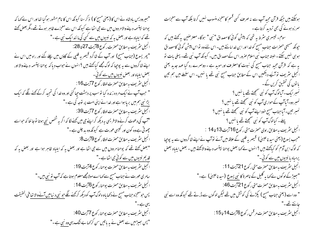"ہمیرودیس بادشاہ نے اس کا (یعنی مسیح کا ) ذکر سنا کیونکہ اس کا نام مشور ہو گیا تھا اور اس نے کہا کہ یوحنا ببتسمہ دینے والامر دوں میں سے حی اٹھاہے کیونکہ اس سے معجزے ظاہر ہوتے تھے۔مگر بعض کھتے تھے کہ ایلیاہ ہے اور بعض یہ کہ نبیوں میں سے کسی کی ما نند ایک نبی ہے۔" انجيل سثريف به مطابق حصرت ركوع 8آيت 27 تا 28: "بھر یسوع (جناب مسج) اور آپ کے شاگرد قبیصر بہ فلپی کے گاؤں میں چلے گئے اور راہ میں اس نے اپنے شاگردوں سے بہ پوجیا کہ لوگ مجھے کیا کہتے بیں ؟ انہوں نے حواب دیا کہ یوحنا بپتسمہ دینے والا اور بعض ایلیاہ اور بعض نبیوں میں سے کوئی ۔ انجيل سثريف به مطابق حصرت لوقار كوع 77يت 16 : " حب آپ نے ایک مر دہ زندہ کیا توسب پر دہشت حیا گئی اور وہ خدا کی تہجید کرکے کھنے لگے کہ ایک بڑا نبی ہم میں بریا ہوا ہے اور خدا نے اپنی امت پر توجہ کی ہے ۔" انجيل مثريف به مطابق حصرت لوقار كوع 77يت39: "آپ کی دعوت کرنےوالا فریسی پہ دیکھ کراپنے جی میں کھنےاگا کہ اگر پہ شخص نبی ہوتا نوجا نتا کہ حواسے چھوٽی ہےوہ کون اور کیسی عورت ہے کیونکہ وہ بد چلن ہے۔" انجيل سثريف به مطابق حصرت لوقار كوع 9آيت 8: "بعض کھتے تھے کہ یوحنا مر دوں میں سے حی اٹھا ہے اور بعض یہ کہ ایلیاہ ظاہر ہوا ہے اور بعض یہ کہ قدیم نہبوں میں سے کوئی حی اٹھاہے۔" انجيل مثريف به مطابق حصرت يوحنار كوع 4آيت 19 : سامری عورت نے جناب مسیح سے کہا اے مولامجھے معلوم ہوتا ہے کہ آپ نو نبی بیں۔" انجيل سثريف به مطابق حصرت يوحنار كوع 6آيت 14 : پس حبومعمزہ حبناب مسح نے دکھا ماوہ لوگ آپ کو دیکھ کرکھنے لگے حبو نسی د نیامیں آنے والا تعا فی الحقیقت  $"$ ے۔" انجيل سثريف به مطابق حصرت يوحنار كوع 7آيت 40: "پس بھیڑ میں سے بعض نے یہ باتیں سن کرکھا بے شک یہی وہ نبی ہے۔"

ہوسکتے ہیں جبکہ قرآن مجید آپ سے نہ صرف کسی قسم کامعجزہ منسوب نہیں کرتا بلکہ آپ سے معجزات سمرزد ہونے کی بھی تردید کرتاہے۔ سوم۔ تیسری سرط یہ تھی کہ پیش گوئی کامصداق "نبی " ہوگا۔معترضین پہ کہتے ہیں کہ حپونکہ مسیحی حصرات جناب مسیح کوخدااور ابن خدامانتے ہیں۔اس لئے وہ تواس پیش گوئی کامصداق ہو ہی نہیں سکتے۔ البتہ جناب نبی اسلام صرور اس کے مصداق ہیں۔ کیونکہ آپ نبی تھے۔ پہلی بات نو بہ ہے کہ قرآن مجید جناب مسح کی نبوت کامعترف اور موید ہے ۔ دوسرے رہ گیا عہد جدید یعنی انجیل سٹریف توآئیے دیکھیں اس کے مطابق جناب مسیح نبی تھے یا نہیں۔ اس سلسلے میں ہم تین یا توں کی تحقیق کریں گے۔ نمبرایک-آمالوگ آپ کو نبی سمجھتے تھے یا نہیں ؟ نمبر دو-آیاآپ کے حواری آپ کو نبی سمجھتے تھے یا نہیں ؟ نمبر تین-آیاجناب مسج خود اپنےآپ کو نبی سمجھتے تھے یا مہیں ؟ پہلے۔ کیالوگ آپ کو نبی سمجھتے تھے یا نہیں ؟ انجيل سثريف به مطابق راوي حصرت متى ركوع 16 آيت 13 تا 14 ∶ "حب یسوع (یعنی سید ناعیسیٰ) قبیصر یہ فلپی کے علاقہ میں آئے توآپ نے اپنے شاگردوں سے یہ پوچیا کہ لوگ ابن آدم کو کیاکھتے ہیں ؟ انہوں نے کہا بعض یوحنا بپتسمہ دینے والاکھتے ہیں ۔ بعض ایلیاہ بعض یرمیاہ یا نبیوں میں سے کوئی۔" الجيل سثريف به مطابق حصرت متى ركوع 21 آيت 11: "بھیڑکےلوگوں نےکہا یہ گلیل کے ناصرۃ کا نبی یسوع (سید ناعیسیٰ) ہے۔" انجيل سثريف به مطابق حصرت متى ركوع 21 آيت 46: " وہ اسے (یعنی جناب مسح ) پکڑنے کی کوشش میں تھے لیکن لوگوں سے ڈرتے تھے کیونکہ وہ اسے نبی حانتے تھے۔" انجيل سرْيف به مطابق حصرت مرقس ركوع 6آيت 14 تا 15: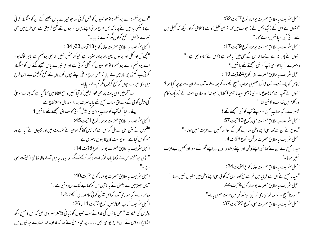"اے پرشکم؛ اے پروشکم؛ نوحو نبیوں کو قتل کرتی اور حو تیرے پاس بھیجے گئے ان کو سنگسار کرتی ہے ؛ کتنی بار میں نے چاپا کہ حس طرح مرغی اپنے بچوں کو پروں تلے جمع کرلیتی ہے اسی طرح میں بھی تیرے لڑکوں کوجمع کرلوں مگر تم نے نہ چاہا۔" انجيل سريف به مطابق حصرت لوقار كوع 13 آيت 33 تا 34 : "مجھے آج اور کل اور پرسوں اپنی راہ پر چلنا صرور ہے کیونکہ ممکن نہیں کہ نبی پروشلم سے باہر ہلاک ہو۔ اے پروشکم ؛اے پروشکم ؛ نوحو نبیوں کو قتل کرتی ہے اور حو تیرے پاس بھیجے گئے ان کو سنگسار کرتی ہے کتنی ہی بار میں نے چابا کہ حس طرح مرغی اپنے بچوں کو پروں تلے جمع کرلیتی ہے اسی طرح میں بھی تیرے بچوں کو جمع کرلوں مگر تم نے نہ چاہا۔ اب آخر میں اس بات پر بھی عوْر کرلیں کہ آیا تھمیں واضح الفاظ میں کھا گیا ہے کہ جناب موسیٰ گی پیش گوئی کےمصداق جناب مسیح تھے یا یہ صرف ہمارااستدلال واستنتاج ہے ۔ پہلے۔ کیالوگ آپ کو *جن*اب موسیٰ کی پیش گوئی کامصداق سمجھتے تھے یا مہیں ؟ انجيل مثريف به مطابق حصرت يوحنار كوع 1 آيت 45: "فلپس نے نتن ایل سے مل کر اس سے کہا جس کاذ کر موسیٰ نے توریت میں اور نبیوں نے کیا ہے وہ ہم کومل گیا ہے۔وہ یوسف کا بیٹا یسوع ناصری ہے۔ انجيل سثريف به مطابق حصرت يوحنار كوع 6آيت 14 : " پس حبومعجزہ اس نے دکھا یاوہ لوگ اسے دیکھ کرکھنے لگے حبو نبی د نبامیں آنے والا تھا فنی الحقیقت یہی الجيل مثريف به مطابق حصرت يوحنار كوع 44 يت 40: "پس بھیڑ میں سے بعض نے یہ باتیں سن کر کہا بے ننگ یہی وہ نبی ہے۔" دوسرے۔ کیاحواری آپ کواس پیش گوئی کامصداق من<u>تحتے تھے</u> ؟ انجيل مثريف كتاب اعمالرسل ركوع 3 آيت 11 تا 26: پطرس کی شہادت " حبن با نوں کی خدا نے سب نبیوں کو زبانی پیشتر خبر دی تھی کہ اس کامیج د کھ اطحا ئیگا وہ اسی نے اسی طرح پوری کیں۔۔۔۔چنانچہ موسیٰ نے کہا کہ خداوند خدا تہارے سائیوں میں

انجيل سثريف به مطابق حصرت يوحنار كوع 77يت52: "انہوں نے اس کے ( نیکدیمس کے ) حبواب میں <sub>ک</sub>ما تو بھی گلیل کا ہے ؟ تلاش کر اور دیکھ کہ گلیل میں سے کوئی نبی بریا نہیں ہونے کا۔" انجيل سثريف به مطابق حصرت يوحنار كوع 9آيت 17: انہوں نے پھر اندھے سے کہا کہ اس کے حق میں کیاکھتا ہے ؟اس نے کہاوہ نبی ہے۔" دوسرے۔ کیاحواری آپ کو نبی سمجھتے تھے یا نہیں ؟ انجيل مثريف به مطابق حصرت لوقار كوع 24 آيت 19 : اماؤس کو جاتے ہوئے دو شاگرد جنہیں جناب مسح اٹھنے کے بعد ملے ۔ آپ نے ان سے پوچیا کیا ہوا؟ انہوں نے آپ سے کہا یسوع ناصری (یعنی سید ناعیسیٰ) کا ماحرا حوضدااور ساری امت کے نزدیک کام اور كلام ميں قدرت والا نبى تھا-" تیسرے۔ کیاجناب مسح خود اپنےآپ کو نبی سمجھتے تھے ؟ انجيل س<sub>ى</sub>رىيت بەمطابق *حصرت متى ر*كوع13 آيت 57 : " یسوع نے ان سے کہا نبی اپنےوطن اور اپنے گھر کے سوااور کھمیں بے عزت نہیں ہوتا۔" انجیل سریف به مطابق حصرت مرقس رکوع 6آیت 4: سید نامسج نے ان سے کہا نبی اپنے وطن اور اپنے رشتہ داروں اور اپنے گھر کے سوا اور کھمیں بےعزت انجيل مثر بيف به مطابق حصرت لوقار كوع 74 يت 24: "سید نامسیح نے ان سے فرمایامیں تم سے سچ کھتا ہوں کہ کوئی نبی اپنےوطن میں مقبول نہیں ہوتا۔" انجيل مثريف به مطابق حصرت يوحنار كوع 44 يت 44: " سید نامسچ نے خود گواہی دی کہ نبی اپنے وطن میں عزت نہیں پاتا۔" انجيل سثريف به مطابق حصرت متى ركوع 23 آيت 37: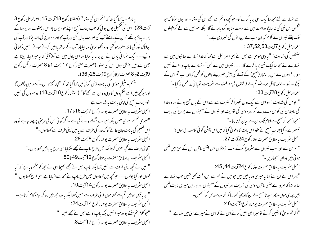چهارم- بیرَ بما گیا تھا کہ "تم اس کی سننا" (استشار کوع 18 آیت 15 ؛اعمالرسل رکوع 3 آیت 23)۔اس کی تکممیل یوں ہو ئی کہ جب جناب مسیح اپنے حوار یوں پطرس ، یعقوب اور یوحنا کے ہمراہ پہاڑ پر تھے نوان کے سامنےآپ کی صورت بدل گئی اور آپ کاچہرہ سورج کی ما نند چمکااور آپ کی پوشاک نور کی ما نند سفید ہو گئی اور دیکھوموسیٰ اور ایلیاہ آپ کے ساتھ باتیں کرتے ہوئے انہیں دکھا ئی دیئیے۔۔۔ایک نورا فی بادل نے ان پر سایہ کرلیا اور اس بادل میں سے آواز آئی کہ یہ میرا پیارا بیٹا ہے <sup>ج</sup>س سے میں حوش ہوں اس کی سنو۔(حصرت متی رکوع 17 آیت 1 تا 8 حصرت مرقس رکوع 9آيت 2 تا 8حصرت لوقار كوع 9آيت 28 تا 36)۔ یسجم - متنیلِ موسیٰ کی بابت پیش گوئی میں کہا گیا تھا کہ "اپنا کلام اس کے منہ میں ڈالوں گا اور حوکچھ میں اسے حکم دوں گاوہی وہ ان سے کھے گا" (استشنار کوع 18 آیت 18) دوسمروں کی نہیں خود جناب مسیح کی اپنی بابت په شہادت ہے۔ انجيل سثريف به مطابق حصرت يوحنا ركوع 7 آيت 16 تا 17: "میری تعلیم میری نہیں بلکہ میرے بھیجنےوالے کی ہے ۔اگر کوئی اس کی مرضی پر چلنا چاہے تووہ اس تعلیم کی با بت جان جائے گا کہ خدا کی طرف سے پامیں اپنی طرف سے کھتا ہوں۔" انجيل مثريف به مطابق حصرت يوحنار كوع 18يت28: "اپنی طرف سے کحچھ نہیں کرتا بلکہ حس طرح پاپ نے مجھے سکھایااسی طرح یہ باتیں کھتا ہوں۔" انجيل سثريف به مطابق حصرت يوحنار كوع 12 آيت 49 ما 50: " میں نے تحچہ اپنی طرف سے نہیں کہا بلکہ پاپ حس نے مجھے بھیجا اسی نے مجھ کو حکم دیا ہے کہ کیا کھوں اور کیا بولوں۔۔۔جو تحچھ میں کھتا ہوں جس طرح پاپ نے مجھ سے فرمایا ہے اسی طرح کھتا ہوں۔" انجيل مثريف به مطابق حصرت يوحنار كوع 14 آيت 10 : " یہ باتیں حومیں تم سے کھتاہوں اپنی *طر*ف سے نہیں کھتا بلکہ ماپ مجھ میں رہ کر اپنے کام کرتا ہے۔ انجيل سثريف به مطابق حصرت يوحنار كوع 14 آيت 24: "حو کلام تم سنتے ہووہ میرا نہیں بلکہ باپ کا ہے جس نے مجھے بھیجا۔" انجيل سثريف به مطابق حصرت يوحنا ركوع 17 آيت 8:

سے نہارے لئے مجھ ساایک نبی بریا کرے گا۔ حوکچھ وہ تم سے کھے اس کی سننا۔ اور یوں ہو گا کہ حبو شخص اس نبی کی نہ سدیگاوہ امت میں سے نیست و نا بود کردیاجائے گا۔ بلکہ سمو ئیل سے لے کر پچپلوں تک جنسے نبیوں نے کلام کیاان سب نےان دیوں کی خسر دی ہے۔" اعمالرسل رکوع 7آیت53,52 تابع ا ستفنس کی شہادت : "پہ وہی موسیٰ ہے جس نے بنی اسرائیل سے کہا کہ خدا تہارے بھائیوں میں سے تہمارے لئے مجھ ساایک نبی برپا کرے گا۔ ۔۔۔ نبیوں میں سے کس کو تہارے پاپ دادا نے نہیں ستایا ؟انہوں نے اس راستیاز (مسح) کے آنے کی پیشِ خبیر دینے والوں کو قتل کیا اور اب تم اس کے پکڑوانےوالے اور قاتل ہوئے۔ تم نے فرشتوں کی معرفت سے سٹریعت تو یا ئی پر عمل نہ کیا۔" اعماالرسل ركوع 28 آيت 33: " پولس کی شہادت : وہ اس سے ایک دن ٹھہر اگر کنثرت سے سے اس کے ہاں جمع ہوئے اور وہ خدا کی بادشاہی کی گواہی دے دے کر اور موسیٰ کی نوریت اور نبیوں کے صحیفو ں سے یسوع کی بابت سمجعاسمجعا کر صبح سے شام تک ان سے بیان کرتارہا۔" تیسرے۔کیاجناب مسج نے خود اس بات کا دعویٰ کیا کہ میں اس پیش گوئی کامصداق ہوں؟ انجيل سثريف به مطابق حصرت لوقار كوع 24 آيت 27: " موسیٰ سے اور سب نبیوں سے سثروع کرکے سب نوشتوں میں جتنی باتیں اس کے حن میں لکھی ہو ئی بیں وہ ان سمجادیں۔" انجيل سثريف به مطابق حصرت لوقار كوع 24 آيت 44 تا 45: "پھر اس نے ان سے کہا یہ میری وہ باتیں بیں حومیں نے تم سے اس وقت کہی تھیں حب تہارے ساتھ تھا کہ صرور ہے جتنی پاتیں موسیٰ کی توریت اور نبیوں کے صحیفوں اوز بور میں میری پابت لکھی ہیں پوری ہوں۔ پھر سید نامسیح نے ان کا ذہن کھولا تا کہ کتاب مقد س کو سمجیں۔ انجيل سثريف به مطابق حصرت يوحنار كوع 5آيت 46: "اگر تم موسیٰ کا یقین کرتے تومیرا بھی یقین کرتے اس لئے کہ اس نے میرے حق میں لکھاہے۔"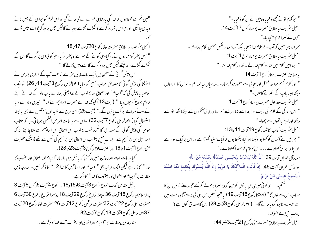"میں تم سے کھتا ہوں کہ خدا کی بادشاہی تم سے لے لی جائے گی اور اس قوم کو حواس کے پھل لائے دیدی جا ئیگی۔اور حبواس پتھرپر گرے گا گلڑے گلڑے ہوجائے گالیکن حس پر وہ گریگا اسے پیس ڈالے انجيل سثريف به مطابق حصرت لوقار كوع 20 آيت 17 تا18: " حب پتھر کومعماروں نے رد کیاوہی کونے کے سمرے کا پتھر ہوگیا۔حبو کوئی اس پر گرے گا اس کے گلڑے گلڑے ہوجا ئینگے لیکن حس پروہ گرے گا اسے پیس ڈالے گا-" اس پیش گوئی کے صمن میں ایک بات قابل عوٰر ہے کہ جب آپ کے حواری پطرس نے استشنا کی پیش گوئی کامصداق جناب مسج کو بتایا (اعمالرسل رکوع 3 آیت 11 تا 26) توایک توجہیہ یہ پیش کی کہ "ابرہام" اور اضحاق اور یعقوب کے خدا یعنی ہمارے باپ دادا کے خدا نے اپنے خادم یسوع کوجلال دیا-" (آیت 13) کیونکہ خدا نے حصرت ابراہیم سے کہا" تیری اولاد سے دنیا کے سب گھرانے بر کت پائیں گے۔" (آیت 25) اسی طرح سے شہید اول ستفنس نے بھی پہ جملہ استعمال کیا ( اعمالرسل رکوع 7آیت 32) ۔اس سے یہ بات اظر من الشمس ہوجاتی ہے کہ جناب موسیٰ کی پیش گوئی کے مصداق کا شجرہ نسب یعقوب بن اسحاق بن ابراہیم سے ملنا چاہئے یہ کہ اسماعیل بن ابراہیم سے۔ جناب مسیح یعقوب بن اسحاق بن ابراہیم کی نسل سے تھے (دیکھئے حصرت متى ركوع 1 آيت 1 تا 16 اور حصرت لوقار كوع 3 آيت 23 تا 28)-کیا یہ بات اپنے اندر وزن نہیں رکھتی کہ پائبل میں بار بار "ابرمام اور اصحاق اور یعقوب کا غدا" كاذكر ہے ليكن ايك مرتبہ بھى" ابرہام اور اسماعيل كا غدا 12\* كا ذكر نہيں۔ مندرجہ ذيل مقامات پر"ا برہام اور اصحاق اور یعقوب کاخدا" کا ذکر ہے ۔ بائبل مقد س کتاب خروج رکوع 3 آیت 6و15و16 - رکوع 4 آیت 5رکوع 6 آیت 3 پہلاسلاطین رکوع 18 آیت 36 ۔پہلا تواریخ رکوع 29 آیت 18 دوسرا تواریخ رکوع 30 آیت 6 حصرت متى ركوع 22 آيت 32حصرت مرقس ركوع 12 آيت 26 حصرت لوقا ركوع 20 آيت 37اعمالرسل رکوع3 آیت13 رکوع 7آیت32۔ مندر حد ذیل مقامات پر "ابرہام اور اصحاق اور یعقوب "سے عہد کا ذکر ہے ۔

" حبو كلام نونے مجھے پہنچا یاوہ میں نے ان کو پہنچا یا۔" انجيل سثريف به مطابق حصرت يوحنار كوع 17آيت 14 : "میں نے تیرا کلام پہنچادیا۔" صرف یہی نہیں کہ آپ نے کلام خدا پہنچایا بلکہ آپ خود بہ نفس نفیس کلام خدا تھے۔ انجيل س<sub>شر</sub>يف به مطابق حصرت يوحنار كوع 1 آيت 1 : " ابتدامیں کلام میں تھااور کلام خدا کے ساتھ اور کلام خدا تھا۔" به مطابق حصرت یوحنار کوع 11یت 14: " او ر کلام مجسم ہوا اور فضل اور سچائی سے معمور ہو کر ہمار سے درمیان ریا اور ہم نے اس کا ایسا جلال دیکھاجیسا باپ کے اکلوتے کاجلال۔" انجيل مثر يف خط اول حصرت يوحنار كوع 1 آيت 1 : " اس زندگی کے کلام کی بابت حوابتدا سے تھااور جے ہم سنا اور اپنی آنکھوں سے دیکھا بلکہ عوٰر سے دیکھااور اپنے ہاتھوں سے چھوا۔" انجيل مثريف كتاب مكاشفه ركوع19 آيت 11 تا 13: " پھر میں نے آسمان کو کھلاہوا دیکھا اور کیا دیکھتا ہوں کہ ایک سفید گھوڑاہے اور اس پر ایک سوار ہے حبوسجا اور برحق کھلاتا ہے --- اس کا نام کلام خدا کھلاتا ہے -" سورەآل عمران آيت39: أَنَّ اللَّهَ يُبَشِّرُكَ بِيَحْيَـــي مُصَدِّقًا بِكَلِمَةٍ مِّنَ اللَّهِ َ موره آل عمران آيت 45: ۚ إِذْ قَالَتِ الْمَلاَّئِكَةُ يَا مَرْيَمُ إِنَّ اللَّهَ يُبَشِّرُكَ بِكَلِمَة مِّنْهُ اسْمُهُ الْمَسيحُ عِيسَى ابْنُ مَرْيَمَ سشٹم- " حو کوئی میری ان یا توں کو حن کووہ میرا نام لے کر کھے گا نہ سے تو میں ان کا حساب اس سے لوں گا" (استشنار کوع 18 آیت 19 ) یا "حبوشخص اس نبی کی نہ سنے گاوہ امت میں سے نیبت ونابود کردیاجائے گا۔" ( اعمالرسل رکوع3آیت23) اس کامصداق کون ہے ؟ جناب مسح نے خود کھا: انجيل سثريف به مطابق حصرت متى ركوع 21 آيت 43 تا 44: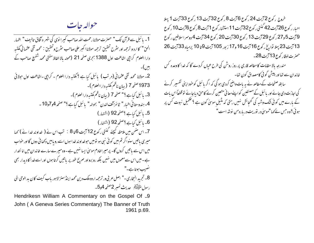حواله جات

1۔ یا ئبل سے قرآن تک" حصرت مولانا رحمت اللہ صاحب کیپرا نوی کی شہر ہ آفاق تالیف" اظہار الحق" كاارد و ترحمه اور ستُرح تحقيق ترحمه مولاناا كبر على صاحب ستُرح وتحقيق : محمد تقي عثما في مكتبه دارا العلوم كراجي اشاعت اول 1388 بجري صفحه 21 (محوله بالا الفاظ مفتي محمد شفيع صاحب كے بين)-2۔ مولانا محمد تقی عثمانی (مرتب ) پائبل کیا ہے ؟ مکتبہ دارا العلوم ۔ کراچی ۔اشاعت اول حولائی 1973 صفحه 7 (بيان ناظم مكتبه داراالعلوم)-3- بائبل كياہے ؟" صفحه 7 (بيان ناظم مكتبہ دارالعلوم)-4- ہندوستانی اخبار " ٹائیز آف لندن" بحوالہ" یا ئبل کیاہے ؟" صفحہ 4و7و10 ۔ 5- مائبل كياہے ؟صفحه92 (اشتهار) 6۔ پائبل کیاہے؟صفحہ92 (اشتہار) 7۔ اس صنمن میں ملاحظہ کیچئے گنتی رکوع 12 آیت 6تا 8٪ تب اس نے ( غداوند خدا نے ) کہا میری پاتیں سنواگر تم میں کو ئی نبی ہو تومیں حوخداوند خدا ہوں اسے رویامیں دکھا ئی دوں گااور خواب میں اس سے باتیں کروں گا۔ پرمیراخادم موسیٰ ایسا نہیں ہے۔وہ میرے سارے خاندان میں اما نتدار ہے۔میں اس سےمعموں میں نہیں بلکہ رو برواور صریح طور پر پاتیں کرتا ہوں اور اسے خدا کا دیدار بھی نصيب ہوتا ہے۔" 8۔ تجرید البخاری -" اصل عربی ور ترحمہ اردوملک دین محمد اینڈسنز لاہور باب کیف کان بد الوحی الی رسول متَقَلِّيَتِهُ \_ عديث نمسر 2صفحه 4و5-

Hendrikesn William A Commentary on the Gospel Of <sub>-9</sub> John (A Geneva Series Commentary) The Banner of Truth 1961 p.69. خروج ركوع 27يت 24 ركوع 6آيت 8 ركوع 32آيت 13 ركوع 33آيت 1 پهلا احبار ر کوع 26 آیت 42 گنتی ر کوع 32 آیت 11 استشنار کوع 1 آیت 8 ر کوع 6 آیت 10 ر کوع 9 آيت 5 و27 رکوع 29 آيت 13 رکوع 30 آيت 20 رکوع 34 آيت 4 دوسراسلاطين رکوع 13 آيت 23 پهلا تواريخ رکوع 16 آيت 16 و17 زېور 105 آيت 9 تا 10 پرمباه 33 آيت 26 حصرت لوقار کوع 13 آیت 28۔

مندرجہ بالا مقامات کامطالعہ قاری پر روز روشن کی طرح عیاں کردے گا کہ غدا کا وعدہ کس خاندان سے تھا اور پیش گو ٹی کامصداق کون تھا۔ سابقہ صفحات کےمطالعہ نے بہ بات واضح کردی ہوگی کہ اگر پائبل کو خود اپنی تفسیر کرنے کی اجازت دی جائے اور پائبل کے مصنفین کو اپنےمعانی متعین کرنے کاحق دیاجائے تو قطعاً اس بات

کے مارے میں کوئی ننگ وشبہ کی گنجائش نہیں رہتی کہ مثیل موسیٰ کون ہے ؟ تکمیل نبوت کس پر <sup>م</sup>بو فیَ ؟وه حس نے <sub>ک</sub>ھا "موسیٰ در نوریت دربارہ من نوشہ است"